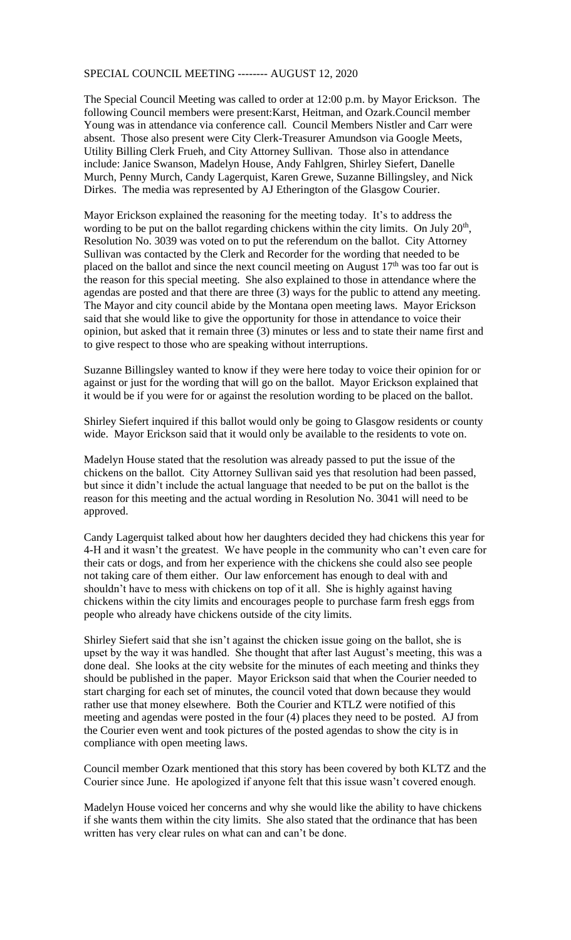## SPECIAL COUNCIL MEETING -------- AUGUST 12, 2020

The Special Council Meeting was called to order at 12:00 p.m. by Mayor Erickson. The following Council members were present:Karst, Heitman, and Ozark.Council member Young was in attendance via conference call. Council Members Nistler and Carr were absent. Those also present were City Clerk-Treasurer Amundson via Google Meets, Utility Billing Clerk Frueh, and City Attorney Sullivan. Those also in attendance include: Janice Swanson, Madelyn House, Andy Fahlgren, Shirley Siefert, Danelle Murch, Penny Murch, Candy Lagerquist, Karen Grewe, Suzanne Billingsley, and Nick Dirkes. The media was represented by AJ Etherington of the Glasgow Courier.

Mayor Erickson explained the reasoning for the meeting today. It's to address the wording to be put on the ballot regarding chickens within the city limits. On July  $20<sup>th</sup>$ , Resolution No. 3039 was voted on to put the referendum on the ballot. City Attorney Sullivan was contacted by the Clerk and Recorder for the wording that needed to be placed on the ballot and since the next council meeting on August  $17<sup>th</sup>$  was too far out is the reason for this special meeting. She also explained to those in attendance where the agendas are posted and that there are three (3) ways for the public to attend any meeting. The Mayor and city council abide by the Montana open meeting laws. Mayor Erickson said that she would like to give the opportunity for those in attendance to voice their opinion, but asked that it remain three (3) minutes or less and to state their name first and to give respect to those who are speaking without interruptions.

Suzanne Billingsley wanted to know if they were here today to voice their opinion for or against or just for the wording that will go on the ballot. Mayor Erickson explained that it would be if you were for or against the resolution wording to be placed on the ballot.

Shirley Siefert inquired if this ballot would only be going to Glasgow residents or county wide. Mayor Erickson said that it would only be available to the residents to vote on.

Madelyn House stated that the resolution was already passed to put the issue of the chickens on the ballot. City Attorney Sullivan said yes that resolution had been passed, but since it didn't include the actual language that needed to be put on the ballot is the reason for this meeting and the actual wording in Resolution No. 3041 will need to be approved.

Candy Lagerquist talked about how her daughters decided they had chickens this year for 4-H and it wasn't the greatest. We have people in the community who can't even care for their cats or dogs, and from her experience with the chickens she could also see people not taking care of them either. Our law enforcement has enough to deal with and shouldn't have to mess with chickens on top of it all. She is highly against having chickens within the city limits and encourages people to purchase farm fresh eggs from people who already have chickens outside of the city limits.

Shirley Siefert said that she isn't against the chicken issue going on the ballot, she is upset by the way it was handled. She thought that after last August's meeting, this was a done deal. She looks at the city website for the minutes of each meeting and thinks they should be published in the paper. Mayor Erickson said that when the Courier needed to start charging for each set of minutes, the council voted that down because they would rather use that money elsewhere. Both the Courier and KTLZ were notified of this meeting and agendas were posted in the four (4) places they need to be posted. AJ from the Courier even went and took pictures of the posted agendas to show the city is in compliance with open meeting laws.

Council member Ozark mentioned that this story has been covered by both KLTZ and the Courier since June. He apologized if anyone felt that this issue wasn't covered enough.

Madelyn House voiced her concerns and why she would like the ability to have chickens if she wants them within the city limits. She also stated that the ordinance that has been written has very clear rules on what can and can't be done.